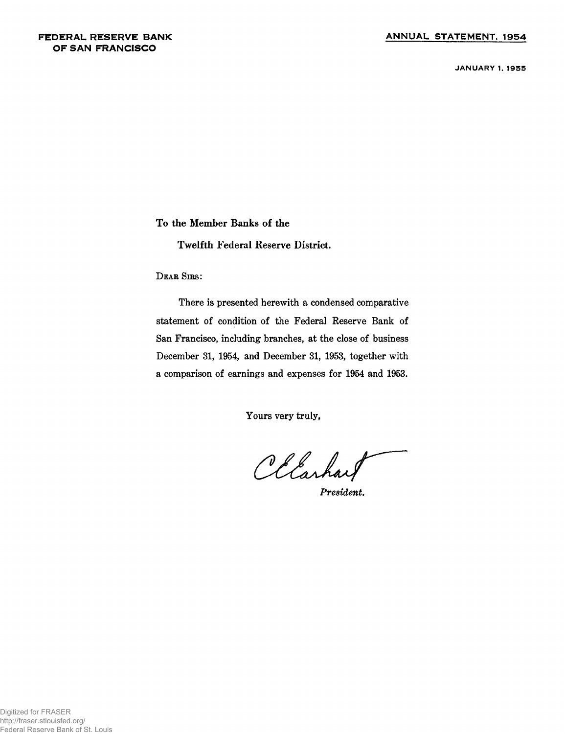**JANUARY 1. 1955**

**To the Member Banks of the**

**Twelfth Federal Reserve District.**

**D ear Sir s:**

**There is presented herewith a condensed comparative statement of condition of the Federal Reserve Bank of San Francisco, including branches, at the close of business December 31, 1954, and December 31, 1953, together with a comparison of earnings and expenses for 1954 and 1953.**

**Yours very truly,**

*President.*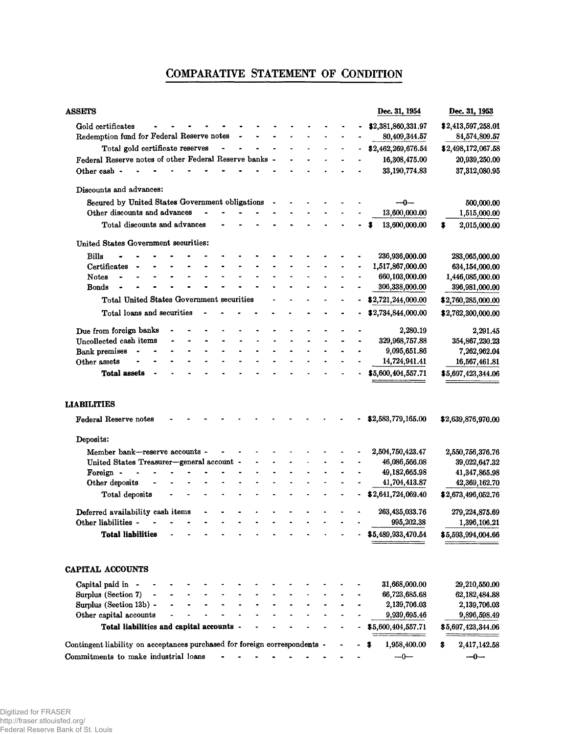# **COMPARATIVE STATEMENT OF CONDITION**

| <b>ASSETS</b>                                                              |  |  |  |  |  | Dec. 31, 1954      | Dec. 31, 1953      |
|----------------------------------------------------------------------------|--|--|--|--|--|--------------------|--------------------|
| Gold certificates                                                          |  |  |  |  |  | \$2,381,860,331.97 | \$2,413,597,258.01 |
| Redemption fund for Federal Reserve notes                                  |  |  |  |  |  | 80,409,344.57      | 84,574,809.57      |
| Total gold certificate reserves                                            |  |  |  |  |  | \$2,462,269,676.54 | \$2,498,172,067.58 |
| Federal Reserve notes of other Federal Reserve banks -                     |  |  |  |  |  | 16,308,475.00      | 20,939,250.00      |
| Other cash -                                                               |  |  |  |  |  | 33,190,774.83      | 37,312,080.95      |
| Discounts and advances:                                                    |  |  |  |  |  |                    |                    |
| Secured by United States Government obligations                            |  |  |  |  |  |                    | 500,000.00         |
| Other discounts and advances                                               |  |  |  |  |  | 13,600,000.00      | 1,515,000.00       |
| Total discounts and advances                                               |  |  |  |  |  | 13,600,000.00      | 2,015,000.00<br>s  |
| United States Government securities:                                       |  |  |  |  |  |                    |                    |
| <b>Bills</b>                                                               |  |  |  |  |  | 236,936,000.00     | 283,065,000.00     |
| Certificates                                                               |  |  |  |  |  | 1,517,867,000.00   | 634,154,000.00     |
| <b>Notes</b>                                                               |  |  |  |  |  | 660,103,000.00     | 1,446,085,000.00   |
| <b>Bonds</b>                                                               |  |  |  |  |  | 306,338,000.00     | 396,981,000.00     |
| Total United States Government securities                                  |  |  |  |  |  | \$2,721,244,000.00 | \$2,760,285,000.00 |
| Total loans and securities                                                 |  |  |  |  |  | \$2,734,844,000.00 | \$2,762,300,000.00 |
| Due from foreign banks                                                     |  |  |  |  |  | 2,280.19           | 2,291.45           |
| Uncollected cash items                                                     |  |  |  |  |  | 329,968,757.88     | 354,867,230.23     |
| <b>Bank premises</b>                                                       |  |  |  |  |  | 9,095,651.86       | 7,262,962.04       |
| Other assets                                                               |  |  |  |  |  | 14,724,941.41      | 16,567,461.81      |
| <b>Total assets</b>                                                        |  |  |  |  |  | \$5,600,404,557.71 | \$5,697,423,344.06 |
| <b>LIABILITIES</b>                                                         |  |  |  |  |  |                    |                    |
| <b>Federal Reserve notes</b>                                               |  |  |  |  |  | \$2,583,779,165.00 | \$2,639,876,970.00 |
| Deposits:                                                                  |  |  |  |  |  |                    |                    |
| Member bank-reserve accounts -                                             |  |  |  |  |  | 2,504,750,423.47   | 2,550,756,376.76   |
| United States Treasurer-general account -                                  |  |  |  |  |  | 46,086,566.08      | 39,022,647.32      |
| Foreign -                                                                  |  |  |  |  |  | 49,182,665.98      | 41,347,865.98      |
| Other deposits                                                             |  |  |  |  |  | 41,704,413.87      | 42,369,162.70      |
| Total deposits                                                             |  |  |  |  |  | \$2,641,724,069.40 | \$2,673,496,052.76 |
| Deferred availability cash items                                           |  |  |  |  |  | 263,435,033.76     | 279, 224, 875.69   |
| Other liabilities -                                                        |  |  |  |  |  | 995,202.38         | 1,396,106.21       |
| <b>Total liabilities</b>                                                   |  |  |  |  |  | \$5,489,933,470.54 | \$5,593,994,004.66 |
|                                                                            |  |  |  |  |  |                    |                    |
| <b>CAPITAL ACCOUNTS</b>                                                    |  |  |  |  |  |                    |                    |
| Capital paid in -                                                          |  |  |  |  |  | 31,668,000.00      | 29,210,550.00      |
| Surplus (Section 7)                                                        |  |  |  |  |  | 66,723,685.68      | 62, 182, 484.88    |
| Surplus (Section 13b) -                                                    |  |  |  |  |  | 2,139,706.03       | 2,139,706.03       |
| Other capital accounts                                                     |  |  |  |  |  | 9,939,695.46       | 9,896,598.49       |
| Total liabilities and capital accounts -                                   |  |  |  |  |  | \$5,600,404,557.71 | \$5,697,423,344.06 |
| Contingent liability on acceptances purchased for foreign correspondents - |  |  |  |  |  | 1,958,400.00       | 2,417,142.58<br>\$ |
| Commitments to make industrial loans                                       |  |  |  |  |  | $-0-$              | $-0-$              |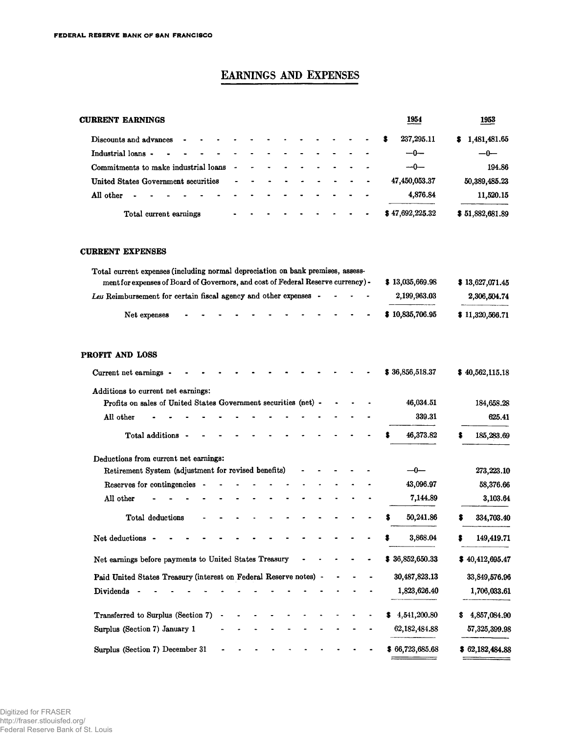## **EARNINGS AND EXPENSES**

| <b>CURRENT EARNINGS</b>                                                                                                                                             |  | 1954               | 1953               |
|---------------------------------------------------------------------------------------------------------------------------------------------------------------------|--|--------------------|--------------------|
| Discounts and advances                                                                                                                                              |  | 237, 295.11        | 1,481,481.65       |
| Industrial loans -                                                                                                                                                  |  | $-0-$              | -0-                |
| Commitments to make industrial loans                                                                                                                                |  | --0---             | 194.86             |
| United States Government securities                                                                                                                                 |  | 47,450,053.37      | 50,389,485.23      |
| All other                                                                                                                                                           |  | 4,876.84           | 11,520.15          |
| Total current earnings                                                                                                                                              |  | \$47,692,225.32    | \$51,882,681.89    |
| <b>CURRENT EXPENSES</b>                                                                                                                                             |  |                    |                    |
| Total current expenses (including normal depreciation on bank premises, assess-<br>ment for expenses of Board of Governors, and cost of Federal Reserve currency) - |  | \$13,035,669.98    | \$13,627,071.45    |
| Les Reimbursement for certain fiscal agency and other expenses -                                                                                                    |  | 2,199,963.03       | 2,306,504.74       |
| Net expenses                                                                                                                                                        |  | \$10,835,706.95    | \$11,320,566.71    |
| PROFIT AND LOSS<br>Current net earnings -<br>Additions to current net earnings:                                                                                     |  | \$36,856,518.37    | \$40,562,115.18    |
| Profits on sales of United States Government securities (net) -                                                                                                     |  | 46,034.51          | 184,658.28         |
| All other                                                                                                                                                           |  | 339.31             | 625.41             |
| Total additions                                                                                                                                                     |  | 46,373.82          | 185,283.69         |
| Deductions from current net earnings:<br>Retirement System (adjustment for revised benefits)                                                                        |  | —0—                | 273,223.10         |
| Reserves for contingencies                                                                                                                                          |  | 43,096.97          | 58,376.66          |
| All other                                                                                                                                                           |  | 7,144.89           | 3,103.64           |
| Total deductions                                                                                                                                                    |  | 50,241.86          | 334,703.40         |
| Net deductions                                                                                                                                                      |  | 3,868.04           | 149,419.71<br>\$   |
| Net earnings before payments to United States Treasury                                                                                                              |  | \$36,852,650.33    | \$40,412,695.47    |
| Paid United States Treasury (interest on Federal Reserve notes) -                                                                                                   |  | 30,487,823.13      | 33,849,576.96      |
| Dividends                                                                                                                                                           |  | 1,823,626.40       | 1,706,033.61       |
| Transferred to Surplus (Section 7)                                                                                                                                  |  | 4,541,200.80<br>S. | 4,857,084.90<br>s. |

**Surplus (Section 7) December 31 b c c c c c c f 66,723,685.68 \$ 62,182,484.88** 

**62,182,484.88**

 $\sim$ 

**57,325,399.98**

**Surplus (Section 7) January 1 ............................................................**